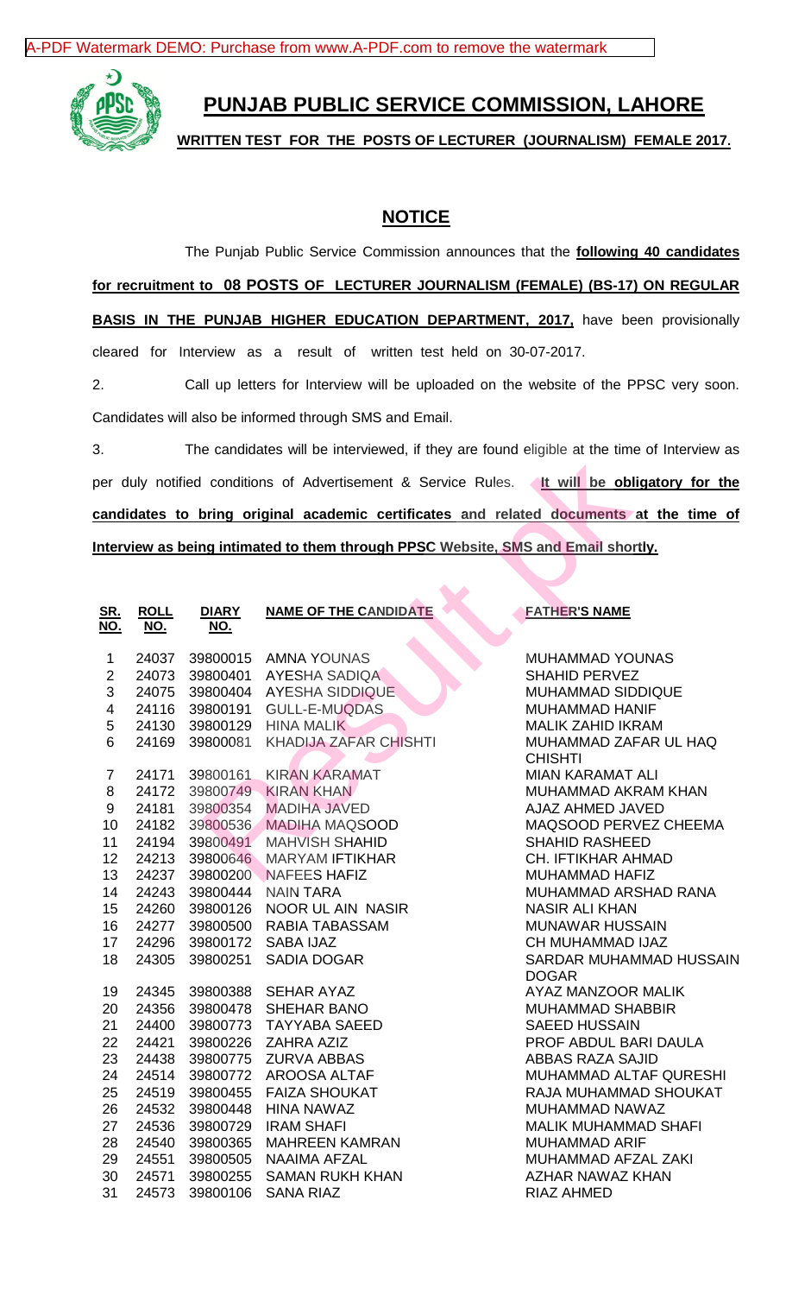[A-PDF Watermark DEMO: Purchase from www.A-PDF.com to remove the watermark](http://www.a-pdf.com/?wm-demo)



## **PUNJAB PUBLIC SERVICE COMMISSION, LAHORE**

**WRITTEN TEST FOR THE POSTS OF LECTURER (JOURNALISM) FEMALE 2017.**

## **NOTICE**

The Punjab Public Service Commission announces that the **following 40 candidates for recruitment to 08 POSTS OF LECTURER JOURNALISM (FEMALE) (BS-17) ON REGULAR BASIS IN THE PUNJAB HIGHER EDUCATION DEPARTMENT, 2017, have been provisionally** cleared for Interview as a result of written test held on 30-07-2017.

2. Call up letters for Interview will be uploaded on the website of the PPSC very soon. Candidates will also be informed through SMS and Email.

3. The candidates will be interviewed, if they are found eligible at the time of Interview as per duly notified conditions of Advertisement & Service Rules. **It will be obligatory for the candidates to bring original academic certificates and related documents at the time of Interview as being intimated to them through PPSC Website, SMS and Email shortly.**

| The candidates will be interviewed, if they are found eligible at the time of Interview as  |             |              |                                                 |                                         |  |  |  |  |
|---------------------------------------------------------------------------------------------|-------------|--------------|-------------------------------------------------|-----------------------------------------|--|--|--|--|
| er duly notified conditions of Advertisement & Service Rules. At will be obligatory for the |             |              |                                                 |                                         |  |  |  |  |
| andidates to bring original academic certificates and related documents at the time of      |             |              |                                                 |                                         |  |  |  |  |
|                                                                                             |             |              |                                                 |                                         |  |  |  |  |
| nterview as being intimated to them through PPSC Website, SMS and Email shortly.            |             |              |                                                 |                                         |  |  |  |  |
|                                                                                             |             |              |                                                 |                                         |  |  |  |  |
|                                                                                             |             |              |                                                 |                                         |  |  |  |  |
| <u>SR.</u>                                                                                  | <b>ROLL</b> | <b>DIARY</b> | <b>NAME OF THE CANDIDATE</b>                    | <b>FATHER'S NAME</b>                    |  |  |  |  |
| <u>NO.</u>                                                                                  | <u>NO.</u>  | <u>NO.</u>   |                                                 |                                         |  |  |  |  |
|                                                                                             |             |              |                                                 |                                         |  |  |  |  |
| 1                                                                                           | 24037       |              | 39800015 AMNA YOUNAS                            | <b>MUHAMMAD YOUNAS</b>                  |  |  |  |  |
| $\overline{2}$                                                                              | 24073       | 39800401     | <b>AYESHA SADIQA</b>                            | <b>SHAHID PERVEZ</b>                    |  |  |  |  |
| 3                                                                                           | 24075       |              | 39800404 AYESHA SIDDIQUE                        | <b>MUHAMMAD SIDDIQUE</b>                |  |  |  |  |
| 4                                                                                           | 24116       | 39800191     | <b>GULL-E-MUQDAS</b>                            | MUHAMMAD HANIF                          |  |  |  |  |
| 5                                                                                           | 24130       | 39800129     | <b>HINA MALIK</b>                               | <b>MALIK ZAHID IKRAM</b>                |  |  |  |  |
| 6                                                                                           | 24169       | 39800081     | KHADIJA ZAFAR CHISHTI                           | MUHAMMAD ZAFAR UL HAQ<br><b>CHISHTI</b> |  |  |  |  |
| $\overline{7}$                                                                              | 24171       | 39800161     | <b>KIRAN KARAMAT</b>                            | <b>MIAN KARAMAT ALI</b>                 |  |  |  |  |
| 8                                                                                           | 24172       | 39800749     | <b>KIRAN KHAN</b>                               | MUHAMMAD AKRAM KHAN                     |  |  |  |  |
| 9                                                                                           | 24181       | 39800354     | <b>MADIHA JAVED</b>                             | AJAZ AHMED JAVED                        |  |  |  |  |
| 10 <sup>1</sup>                                                                             | 24182       | 39800536     | <b>MADIHA MAQSOOD</b>                           | MAQSOOD PERVEZ CHEEMA                   |  |  |  |  |
| 11                                                                                          | 24194       | 39800491     | <b>MAHVISH SHAHID</b>                           | <b>SHAHID RASHEED</b>                   |  |  |  |  |
| 12 <sub>2</sub>                                                                             | 24213       |              | 39800646 MARYAM IFTIKHAR                        | CH. IFTIKHAR AHMAD                      |  |  |  |  |
| 13                                                                                          | 24237       | 39800200     | NAFEES HAFIZ                                    | <b>MUHAMMAD HAFIZ</b>                   |  |  |  |  |
| 14                                                                                          | 24243       |              | 39800444 NAIN TARA                              | MUHAMMAD ARSHAD RANA                    |  |  |  |  |
| 15                                                                                          | 24260       | 39800126     | <b>NOOR UL AIN NASIR</b>                        | <b>NASIR ALI KHAN</b>                   |  |  |  |  |
| 16                                                                                          | 24277       | 39800500     | <b>MUNAWAR HUSSAIN</b><br><b>RABIA TABASSAM</b> |                                         |  |  |  |  |
| 17                                                                                          | 24296       | 39800172     | SABA IJAZ<br>CH MUHAMMAD IJAZ                   |                                         |  |  |  |  |
| 18                                                                                          | 24305       | 39800251     | <b>SADIA DOGAR</b>                              | SARDAR MUHAMMAD HUSSAIN                 |  |  |  |  |
|                                                                                             |             |              |                                                 | <b>DOGAR</b>                            |  |  |  |  |
| 19                                                                                          |             |              | 24345 39800388 SEHAR AYAZ                       | AYAZ MANZOOR MALIK                      |  |  |  |  |
| 20                                                                                          | 24356       |              | 39800478 SHEHAR BANO                            | <b>MUHAMMAD SHABBIR</b>                 |  |  |  |  |
|                                                                                             |             |              | 21 24400 39800773 TAYYABA SAEED                 | SAEED HUSSAIN                           |  |  |  |  |
| 22                                                                                          | 24421       | 39800226     | ZAHRA AZIZ                                      | PROF ABDUL BARI DAULA                   |  |  |  |  |
| 23                                                                                          | 24438       | 39800775     | ZURVA ABBAS                                     | ABBAS RAZA SAJID                        |  |  |  |  |
| 24                                                                                          | 24514       | 39800772     | AROOSA ALTAF                                    | MUHAMMAD ALTAF QURESHI                  |  |  |  |  |
| 25                                                                                          | 24519       | 39800455     | <b>FAIZA SHOUKAT</b>                            | RAJA MUHAMMAD SHOUKAT                   |  |  |  |  |
| 26                                                                                          | 24532       | 39800448     | <b>HINA NAWAZ</b>                               | MUHAMMAD NAWAZ                          |  |  |  |  |
| 27                                                                                          | 24536       | 39800729     | <b>IRAM SHAFI</b>                               | <b>MALIK MUHAMMAD SHAFI</b>             |  |  |  |  |
| 28                                                                                          | 24540       | 39800365     | <b>MAHREEN KAMRAN</b>                           | <b>MUHAMMAD ARIF</b>                    |  |  |  |  |
| 29                                                                                          | 24551       | 39800505     | NAAIMA AFZAL                                    | MUHAMMAD AFZAL ZAKI                     |  |  |  |  |
| 30                                                                                          | 24571       |              | 39800255 SAMAN RUKH KHAN                        | AZHAR NAWAZ KHAN                        |  |  |  |  |
| 31                                                                                          | 24573       | 39800106     | <b>SANA RIAZ</b>                                | RIAZ AHMED                              |  |  |  |  |
|                                                                                             |             |              |                                                 |                                         |  |  |  |  |